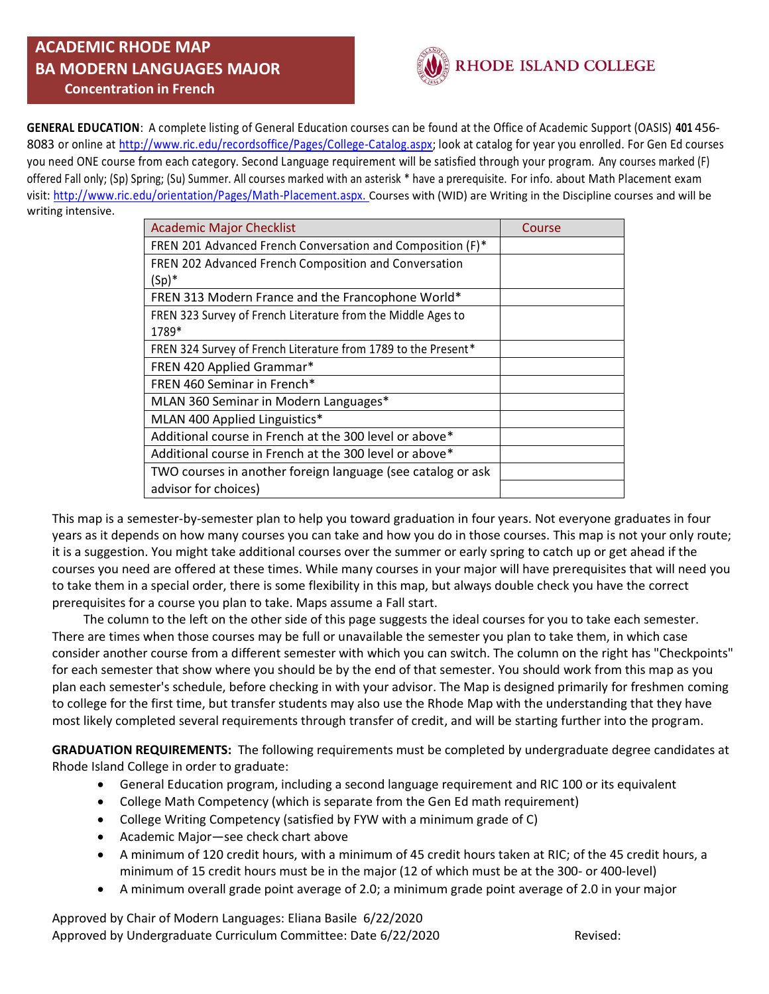### **ACADEMIC RHODE MAP BA MODERN LANGUAGES MAJOR Concentration in French**



**GENERAL EDUCATION**: A complete listing of General Education courses can be found at the Office of Academic Support (OASIS) **401** 456- 8083 or online at [http://www.ric.edu/recordsoffice/Pages/College-Catalog.aspx;](http://www.ric.edu/recordsoffice/Pages/College-Catalog.aspx) look at catalog for year you enrolled. For Gen Ed courses you need ONE course from each category. Second Language requirement will be satisfied through your program. Any courses marked (F) offered Fall only; (Sp) Spring; (Su) Summer. All courses marked with an asterisk \* have a prerequisite. For info. about Math Placement exam visit: [http://www.ric.edu/orientation/Pages/Math-Placement.aspx.](http://www.ric.edu/orientation/Pages/Math-Placement.aspx) Courses with (WID) are Writing in the Discipline courses and will be writing intensive.

| <b>Academic Major Checklist</b>                                | Course |
|----------------------------------------------------------------|--------|
| FREN 201 Advanced French Conversation and Composition (F)*     |        |
| FREN 202 Advanced French Composition and Conversation          |        |
| $(Sp)^*$                                                       |        |
| FREN 313 Modern France and the Francophone World*              |        |
| FREN 323 Survey of French Literature from the Middle Ages to   |        |
| 1789*                                                          |        |
| FREN 324 Survey of French Literature from 1789 to the Present* |        |
| FREN 420 Applied Grammar*                                      |        |
| FREN 460 Seminar in French*                                    |        |
| MLAN 360 Seminar in Modern Languages*                          |        |
| MLAN 400 Applied Linguistics*                                  |        |
| Additional course in French at the 300 level or above*         |        |
| Additional course in French at the 300 level or above*         |        |
| TWO courses in another foreign language (see catalog or ask    |        |
| advisor for choices)                                           |        |

This map is a semester-by-semester plan to help you toward graduation in four years. Not everyone graduates in four years as it depends on how many courses you can take and how you do in those courses. This map is not your only route; it is a suggestion. You might take additional courses over the summer or early spring to catch up or get ahead if the courses you need are offered at these times. While many courses in your major will have prerequisites that will need you to take them in a special order, there is some flexibility in this map, but always double check you have the correct prerequisites for a course you plan to take. Maps assume a Fall start.

 The column to the left on the other side of this page suggests the ideal courses for you to take each semester. There are times when those courses may be full or unavailable the semester you plan to take them, in which case consider another course from a different semester with which you can switch. The column on the right has "Checkpoints" for each semester that show where you should be by the end of that semester. You should work from this map as you plan each semester's schedule, before checking in with your advisor. The Map is designed primarily for freshmen coming to college for the first time, but transfer students may also use the Rhode Map with the understanding that they have most likely completed several requirements through transfer of credit, and will be starting further into the program.

**GRADUATION REQUIREMENTS:** The following requirements must be completed by undergraduate degree candidates at Rhode Island College in order to graduate:

- General Education program, including a second language requirement and RIC 100 or its equivalent
- College Math Competency (which is separate from the Gen Ed math requirement)
- College Writing Competency (satisfied by FYW with a minimum grade of C)
- Academic Major—see check chart above
- A minimum of 120 credit hours, with a minimum of 45 credit hours taken at RIC; of the 45 credit hours, a minimum of 15 credit hours must be in the major (12 of which must be at the 300- or 400-level)
- A minimum overall grade point average of 2.0; a minimum grade point average of 2.0 in your major

Approved by Chair of Modern Languages: Eliana Basile 6/22/2020 Approved by Undergraduate Curriculum Committee: Date 6/22/2020 Revised: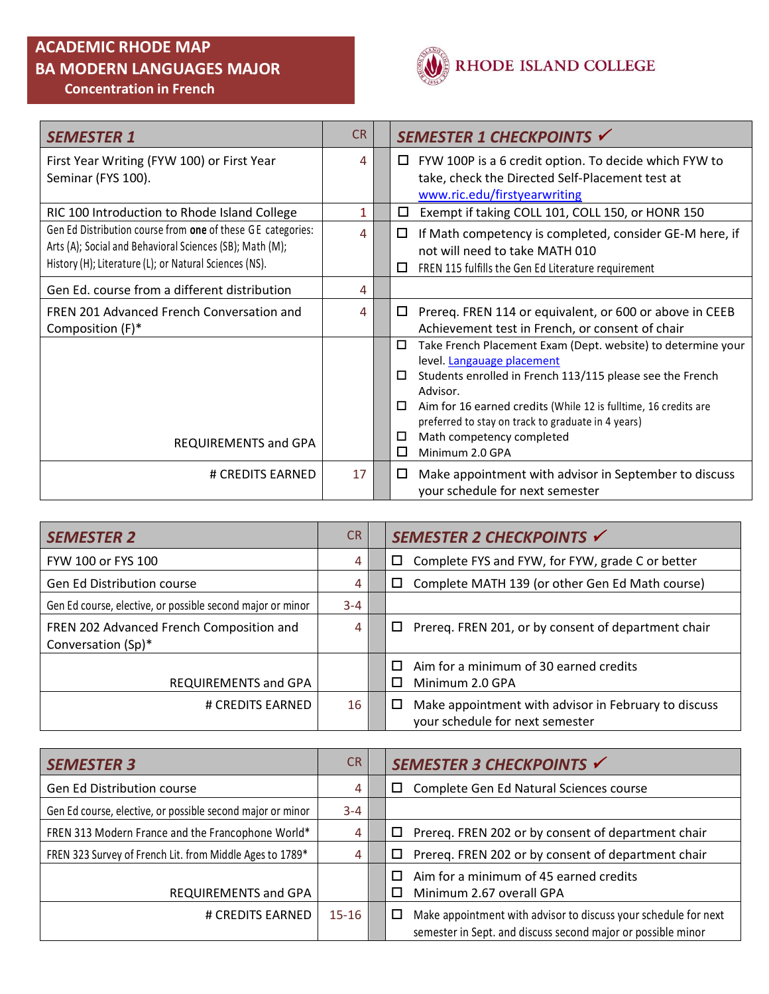# **ACADEMIC RHODE MAP BA MODERN LANGUAGES MAJOR**

 **Concentration in French** 



| <b>SEMESTER 1</b>                                           | <b>CR</b> | SEMESTER 1 CHECKPOINTS V                                                                                                   |
|-------------------------------------------------------------|-----------|----------------------------------------------------------------------------------------------------------------------------|
| First Year Writing (FYW 100) or First Year                  | 4         | FYW 100P is a 6 credit option. To decide which FYW to<br>$\Box$                                                            |
| Seminar (FYS 100).                                          |           | take, check the Directed Self-Placement test at                                                                            |
|                                                             |           | www.ric.edu/firstyearwriting                                                                                               |
| RIC 100 Introduction to Rhode Island College                | 1         | Exempt if taking COLL 101, COLL 150, or HONR 150<br>□                                                                      |
| Gen Ed Distribution course from one of these GE categories: | 4         | If Math competency is completed, consider GE-M here, if<br>□                                                               |
| Arts (A); Social and Behavioral Sciences (SB); Math (M);    |           | not will need to take MATH 010                                                                                             |
| History (H); Literature (L); or Natural Sciences (NS).      |           | FREN 115 fulfills the Gen Ed Literature requirement<br>□                                                                   |
| Gen Ed. course from a different distribution                | 4         |                                                                                                                            |
| FREN 201 Advanced French Conversation and                   | 4         | Prereq. FREN 114 or equivalent, or 600 or above in CEEB<br>□                                                               |
| Composition (F)*                                            |           | Achievement test in French, or consent of chair                                                                            |
|                                                             |           | □<br>Take French Placement Exam (Dept. website) to determine your                                                          |
|                                                             |           | level. Langauage placement                                                                                                 |
|                                                             |           | Students enrolled in French 113/115 please see the French<br>□                                                             |
|                                                             |           | Advisor.                                                                                                                   |
|                                                             |           | Aim for 16 earned credits (While 12 is fulltime, 16 credits are<br>□<br>preferred to stay on track to graduate in 4 years) |
|                                                             |           | Math competency completed<br>□                                                                                             |
| <b>REQUIREMENTS and GPA</b>                                 |           | □<br>Minimum 2.0 GPA                                                                                                       |
| # CREDITS EARNED                                            | 17        | Make appointment with advisor in September to discuss<br>□                                                                 |
|                                                             |           | your schedule for next semester                                                                                            |

| <b>SEMESTER 2</b>                                              | C <sub>R</sub> | SEMESTER 2 CHECKPOINTS √                                                                     |
|----------------------------------------------------------------|----------------|----------------------------------------------------------------------------------------------|
| FYW 100 or FYS 100                                             | 4              | Complete FYS and FYW, for FYW, grade C or better<br>ப                                        |
| <b>Gen Ed Distribution course</b>                              | 4              | Complete MATH 139 (or other Gen Ed Math course)<br>ப                                         |
| Gen Ed course, elective, or possible second major or minor     | $3 - 4$        |                                                                                              |
| FREN 202 Advanced French Composition and<br>Conversation (Sp)* | 4              | Prereq. FREN 201, or by consent of department chair<br>$\Box$                                |
| REQUIREMENTS and GPA                                           |                | Aim for a minimum of 30 earned credits<br>Minimum 2.0 GPA                                    |
| # CREDITS EARNED                                               | 16             | Make appointment with advisor in February to discuss<br>ப<br>your schedule for next semester |

| <b>SEMESTER 3</b>                                          | CR.       | SEMESTER 3 CHECKPOINTS V                                                                                                             |
|------------------------------------------------------------|-----------|--------------------------------------------------------------------------------------------------------------------------------------|
| Gen Ed Distribution course                                 | 4         | Complete Gen Ed Natural Sciences course<br>□                                                                                         |
| Gen Ed course, elective, or possible second major or minor | $3 - 4$   |                                                                                                                                      |
| FREN 313 Modern France and the Francophone World*          | 4         | Prereq. FREN 202 or by consent of department chair<br>□                                                                              |
| FREN 323 Survey of French Lit. from Middle Ages to 1789*   | 4         | Prereq. FREN 202 or by consent of department chair<br>□                                                                              |
| REQUIREMENTS and GPA                                       |           | Aim for a minimum of 45 earned credits<br>Minimum 2.67 overall GPA                                                                   |
| # CREDITS EARNED                                           | $15 - 16$ | Make appointment with advisor to discuss your schedule for next<br>□<br>semester in Sept. and discuss second major or possible minor |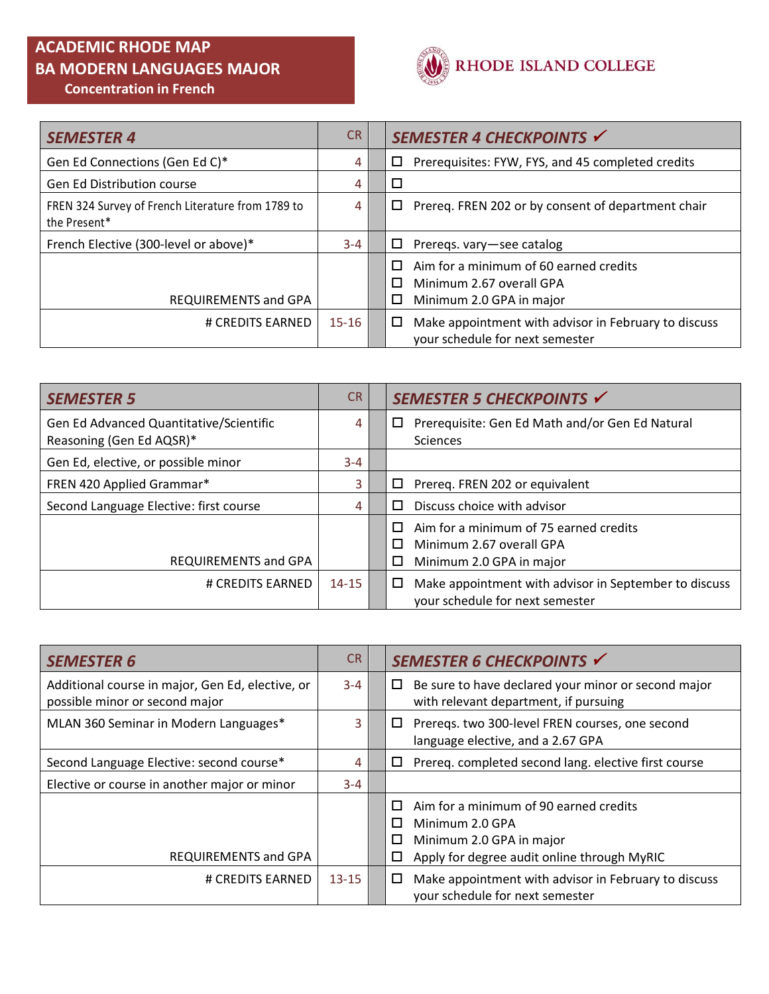## **ACADEMIC RHODE MAP BA MODERN LANGUAGES MAJOR Concentration in French**



| <b>SEMESTER 4</b>                                                 | CR.       | SEMESTER 4 CHECKPOINTS V                                                                                       |
|-------------------------------------------------------------------|-----------|----------------------------------------------------------------------------------------------------------------|
| Gen Ed Connections (Gen Ed C)*                                    | 4         | Prerequisites: FYW, FYS, and 45 completed credits<br>□                                                         |
| <b>Gen Ed Distribution course</b>                                 | 4         | □                                                                                                              |
| FREN 324 Survey of French Literature from 1789 to<br>the Present* | 4         | Prereq. FREN 202 or by consent of department chair<br>□                                                        |
| French Elective (300-level or above)*                             | $3 - 4$   | 0<br>Preregs. vary-see catalog                                                                                 |
| REQUIREMENTS and GPA                                              |           | Aim for a minimum of 60 earned credits<br>П.<br>Minimum 2.67 overall GPA<br>$\Box$<br>Minimum 2.0 GPA in major |
| # CREDITS EARNED                                                  | $15 - 16$ | Make appointment with advisor in February to discuss<br>$\Box$<br>your schedule for next semester              |

| <b>SEMESTER 5</b>                       | <b>CR</b> | SEMESTER 5 CHECKPOINTS √                              |
|-----------------------------------------|-----------|-------------------------------------------------------|
| Gen Ed Advanced Quantitative/Scientific | 4         | Prerequisite: Gen Ed Math and/or Gen Ed Natural<br>□  |
| Reasoning (Gen Ed AQSR)*                |           | <b>Sciences</b>                                       |
| Gen Ed, elective, or possible minor     | $3 - 4$   |                                                       |
| FREN 420 Applied Grammar*               | 3         | Prereg. FREN 202 or equivalent<br>□                   |
| Second Language Elective: first course  | 4         | Discuss choice with advisor<br>П                      |
|                                         |           | Aim for a minimum of 75 earned credits<br>п           |
|                                         |           | Minimum 2.67 overall GPA<br>П                         |
| REQUIREMENTS and GPA                    |           | Minimum 2.0 GPA in major                              |
| # CREDITS EARNED                        | $14 - 15$ | Make appointment with advisor in September to discuss |
|                                         |           | your schedule for next semester                       |

| <b>SEMESTER 6</b>                                                                  | <b>CR</b> | SEMESTER 6 CHECKPOINTS √                                                                                                                                 |
|------------------------------------------------------------------------------------|-----------|----------------------------------------------------------------------------------------------------------------------------------------------------------|
| Additional course in major, Gen Ed, elective, or<br>possible minor or second major | $3 - 4$   | $\Box$ Be sure to have declared your minor or second major<br>with relevant department, if pursuing                                                      |
| MLAN 360 Seminar in Modern Languages*                                              | 3         | Preregs. two 300-level FREN courses, one second<br>ш<br>language elective, and a 2.67 GPA                                                                |
| Second Language Elective: second course*                                           | 4         | $\Box$ Prereq. completed second lang. elective first course                                                                                              |
| Elective or course in another major or minor                                       | $3 - 4$   |                                                                                                                                                          |
| REQUIREMENTS and GPA                                                               |           | Aim for a minimum of 90 earned credits<br>Minimum 2.0 GPA<br>П<br>Minimum 2.0 GPA in major<br>$\Box$<br>Apply for degree audit online through MyRIC<br>□ |
| # CREDITS EARNED                                                                   | $13 - 15$ | Make appointment with advisor in February to discuss<br>⊔<br>your schedule for next semester                                                             |